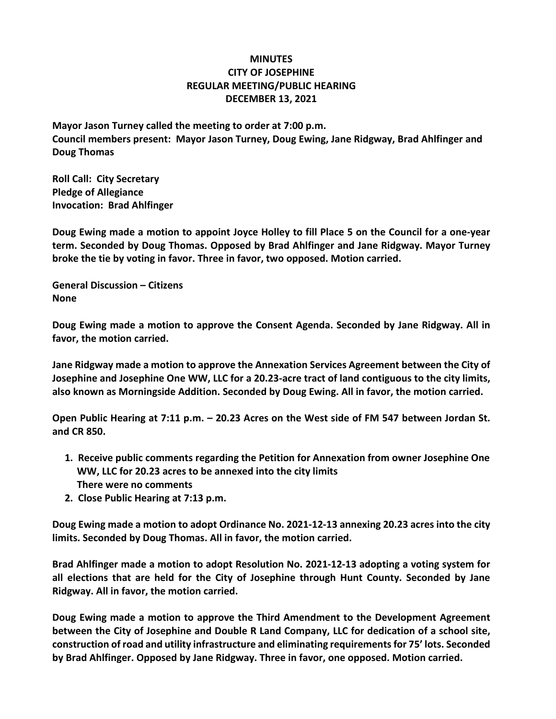## **MINUTES CITY OF JOSEPHINE REGULAR MEETING/PUBLIC HEARING DECEMBER 13, 2021**

**Mayor Jason Turney called the meeting to order at 7:00 p.m. Council members present: Mayor Jason Turney, Doug Ewing, Jane Ridgway, Brad Ahlfinger and Doug Thomas**

**Roll Call: City Secretary Pledge of Allegiance Invocation: Brad Ahlfinger**

**Doug Ewing made a motion to appoint Joyce Holley to fill Place 5 on the Council for a one-year term. Seconded by Doug Thomas. Opposed by Brad Ahlfinger and Jane Ridgway. Mayor Turney broke the tie by voting in favor. Three in favor, two opposed. Motion carried.**

**General Discussion – Citizens None**

**Doug Ewing made a motion to approve the Consent Agenda. Seconded by Jane Ridgway. All in favor, the motion carried.**

**Jane Ridgway made a motion to approve the Annexation Services Agreement between the City of Josephine and Josephine One WW, LLC for a 20.23-acre tract of land contiguous to the city limits, also known as Morningside Addition. Seconded by Doug Ewing. All in favor, the motion carried.**

**Open Public Hearing at 7:11 p.m. – 20.23 Acres on the West side of FM 547 between Jordan St. and CR 850.**

- **1. Receive public comments regarding the Petition for Annexation from owner Josephine One WW, LLC for 20.23 acres to be annexed into the city limits There were no comments**
- **2. Close Public Hearing at 7:13 p.m.**

**Doug Ewing made a motion to adopt Ordinance No. 2021-12-13 annexing 20.23 acres into the city limits. Seconded by Doug Thomas. All in favor, the motion carried.**

**Brad Ahlfinger made a motion to adopt Resolution No. 2021-12-13 adopting a voting system for all elections that are held for the City of Josephine through Hunt County. Seconded by Jane Ridgway. All in favor, the motion carried.**

**Doug Ewing made a motion to approve the Third Amendment to the Development Agreement between the City of Josephine and Double R Land Company, LLC for dedication of a school site, construction of road and utility infrastructure and eliminating requirements for 75' lots. Seconded by Brad Ahlfinger. Opposed by Jane Ridgway. Three in favor, one opposed. Motion carried.**